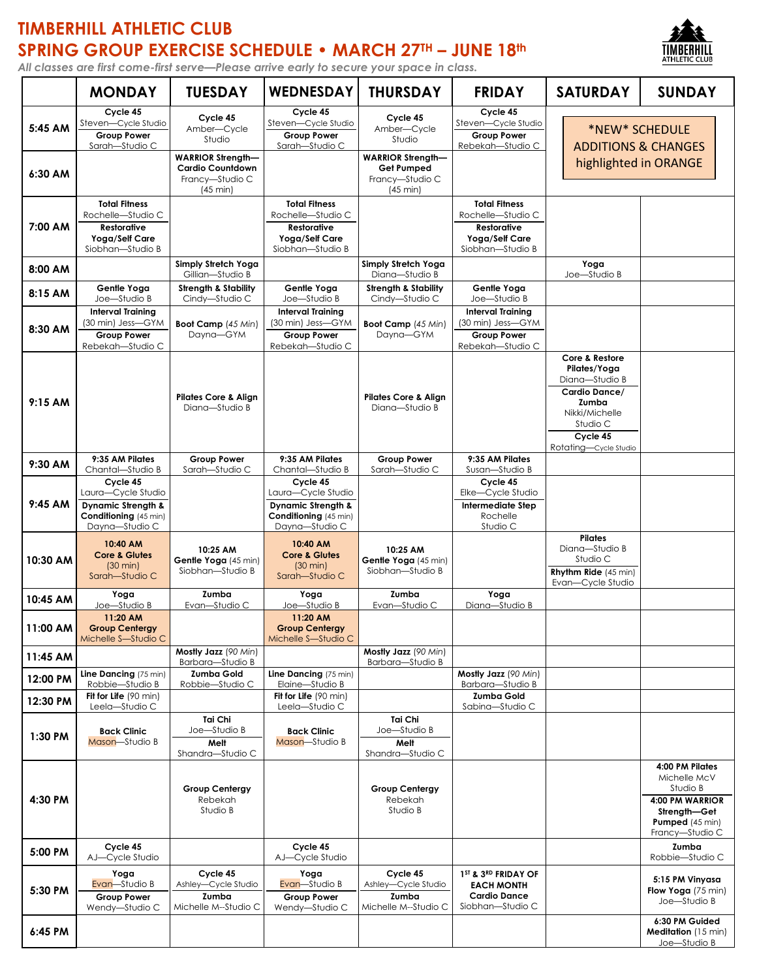## **TIMBERHILL ATHLETIC CLUB SPRING GROUP EXERCISE SCHEDULE • MARCH 27TH – JUNE 18th**



*All classes are first come-first serve—Please arrive early to secure your space in class.*

|           | <b>MONDAY</b>                                                                                              | <b>TUESDAY</b>                                                                     | <b>WEDNESDAY</b>                                                                                       | <b>THURSDAY</b>                                                                 | <b>FRIDAY</b>                                                                                         | <b>SATURDAY</b>                                                                                                                               | <b>SUNDAY</b>                                                                                                        |
|-----------|------------------------------------------------------------------------------------------------------------|------------------------------------------------------------------------------------|--------------------------------------------------------------------------------------------------------|---------------------------------------------------------------------------------|-------------------------------------------------------------------------------------------------------|-----------------------------------------------------------------------------------------------------------------------------------------------|----------------------------------------------------------------------------------------------------------------------|
| 5:45 AM   | Cycle 45<br>Steven-Cycle Studio<br><b>Group Power</b><br>Sarah-Studio C                                    | Cycle 45<br>Amber-Cycle<br>Studio                                                  | Cycle 45<br>Steven-Cycle Studio<br><b>Group Power</b><br>Sarah-Studio C                                | Cycle 45<br>Amber-Cycle<br>Studio                                               | Cycle 45<br>Steven-Cycle Studio<br><b>Group Power</b><br>Rebekah-Studio C                             |                                                                                                                                               | *NEW* SCHEDULE<br><b>ADDITIONS &amp; CHANGES</b>                                                                     |
| 6:30 AM   |                                                                                                            | <b>WARRIOR Strength-</b><br><b>Cardio Countdown</b><br>Francy-Studio C<br>(45 min) |                                                                                                        | <b>WARRIOR Strength-</b><br>Get Pumped<br>Francy-Studio C<br>$(45 \text{ min})$ |                                                                                                       | highlighted in ORANGE                                                                                                                         |                                                                                                                      |
| 7:00 AM   | <b>Total Fitness</b><br>Rochelle-Studio C<br><b>Restorative</b><br>Yoga/Self Care<br>Siobhan-Studio B      |                                                                                    | <b>Total Fitness</b><br>Rochelle-Studio C<br><b>Restorative</b><br>Yoga/Self Care<br>Siobhan-Studio B  |                                                                                 | <b>Total Fitness</b><br>Rochelle-Studio C<br><b>Restorative</b><br>Yoga/Self Care<br>Siobhan-Studio B |                                                                                                                                               |                                                                                                                      |
| 8:00 AM   |                                                                                                            | Simply Stretch Yoga<br>Gillian-Studio B                                            |                                                                                                        | Simply Stretch Yoga<br>Diana-Studio B                                           |                                                                                                       | Yoga<br>Joe-Studio B                                                                                                                          |                                                                                                                      |
| 8:15 AM   | Gentle Yoga<br>Joe-Studio B                                                                                | <b>Strength &amp; Stability</b><br>Cindy-Studio C                                  | Gentle Yoga<br>Joe-Studio B                                                                            | <b>Strength &amp; Stability</b><br>Cindy-Studio C                               | Gentle Yoga<br>Joe-Studio B                                                                           |                                                                                                                                               |                                                                                                                      |
| 8:30 AM   | <b>Interval Training</b><br>(30 min) Jess—GYM<br><b>Group Power</b><br>Rebekah-Studio C                    | Boot Camp (45 Min)<br>Dayna-GYM                                                    | Interval Training<br>(30 min) Jess-GYM<br><b>Group Power</b><br>Rebekah-Studio C                       | <b>Boot Camp</b> (45 Min)<br>Dayna-GYM                                          | <b>Interval Training</b><br>(30 min) Jess-GYM<br><b>Group Power</b><br>Rebekah-Studio C               |                                                                                                                                               |                                                                                                                      |
| 9:15 AM   |                                                                                                            | <b>Pilates Core &amp; Align</b><br>Diana-Studio B                                  |                                                                                                        | <b>Pilates Core &amp; Align</b><br>Diana-Studio B                               |                                                                                                       | Core & Restore<br>Pilates/Yoga<br>Diana-Studio B<br>Cardio Dance/<br>Zumba<br>Nikki/Michelle<br>Studio C<br>Cycle 45<br>Rotating-Cycle Studio |                                                                                                                      |
| 9:30 AM   | 9:35 AM Pilates<br>Chantal-Studio B                                                                        | <b>Group Power</b><br>Sarah-Studio C                                               | 9:35 AM Pilates<br>Chantal-Studio B                                                                    | <b>Group Power</b><br>Sarah-Studio C                                            | 9:35 AM Pilates<br>Susan-Studio B                                                                     |                                                                                                                                               |                                                                                                                      |
| $9:45$ AM | Cycle 45<br>Laura-Cycle Studio<br><b>Dynamic Strength &amp;</b><br>Conditioning (45 min)<br>Dayna-Studio C |                                                                                    | Cycle 45<br>Laura-Cycle Studio<br>Dynamic Strength &<br><b>Conditioning</b> (45 min)<br>Dayna-Studio C |                                                                                 | Cycle 45<br>Elke-Cycle Studio<br><b>Intermediate Step</b><br>Rochelle<br>Studio C                     |                                                                                                                                               |                                                                                                                      |
| 10:30 AM  | 10:40 AM<br><b>Core &amp; Glutes</b><br>$(30 \text{ min})$<br>Sarah-Studio C                               | 10:25 AM<br>Gentle Yoga (45 min)<br>Siobhan-Studio B                               | 10:40 AM<br><b>Core &amp; Glutes</b><br>$(30 \text{ min})$<br>Sarah-Studio C                           | 10:25 AM<br>Gentle Yoga (45 min)<br>Siobhan-Studio B                            |                                                                                                       | <b>Pilates</b><br>Diana-Studio B<br>Studio C<br><b>Rhythm Ride</b> (45 min)<br>Evan-Cycle Studio                                              |                                                                                                                      |
| 10:45 AM  | Yoga<br>Joe-Studio B                                                                                       | Zumba<br>Evan-Studio C                                                             | Yoga<br>Joe-Studio B                                                                                   | Zumba<br>Evan-Studio C                                                          | Yoga<br>Diana-Studio B                                                                                |                                                                                                                                               |                                                                                                                      |
| 11:00 AM  | 11:20 AM<br><b>Group Centergy</b><br>Michelle S-Studio C                                                   |                                                                                    | 11:20 AM<br><b>Group Centergy</b><br>Michelle S-Studio C                                               |                                                                                 |                                                                                                       |                                                                                                                                               |                                                                                                                      |
| 11:45 AM  |                                                                                                            | Mostly Jazz (90 Min)<br>Barbara-Studio B                                           |                                                                                                        | Mostly Jazz (90 Min)<br>Barbara-Studio B                                        |                                                                                                       |                                                                                                                                               |                                                                                                                      |
| 12:00 PM  | Line Dancing (75 min)<br>Robbie-Studio B                                                                   | <b>Zumba Gold</b><br>Robbie-Studio C                                               | Line Dancing (75 min)<br>Elaine-Studio B                                                               |                                                                                 | Mostly Jazz (90 Min)<br>Barbara-Studio B                                                              |                                                                                                                                               |                                                                                                                      |
| 12:30 PM  | Fit for Life (90 min)<br>Leela-Studio C                                                                    |                                                                                    | Fit for Life (90 min)<br>Leela-Studio C                                                                |                                                                                 | Zumba Gold<br>Sabina-Studio C                                                                         |                                                                                                                                               |                                                                                                                      |
| 1:30 PM   | <b>Back Clinic</b><br>Mason-Studio B                                                                       | Tai Chi<br>Joe-Studio B<br>Melt<br>Shandra-Studio C                                | <b>Back Clinic</b><br>Mason-Studio B                                                                   | Tai Chi<br>Joe-Studio B<br>Melt<br>Shandra-Studio C                             |                                                                                                       |                                                                                                                                               |                                                                                                                      |
| 4:30 PM   |                                                                                                            | <b>Group Centergy</b><br>Rebekah<br>Studio B                                       |                                                                                                        | <b>Group Centergy</b><br>Rebekah<br>Studio B                                    |                                                                                                       |                                                                                                                                               | 4:00 PM Pilates<br>Michelle McV<br>Studio B<br>4:00 PM WARRIOR<br>Strength-Get<br>Pumped (45 min)<br>Francy—Studio C |
| 5:00 PM   | Cycle 45<br>AJ-Cycle Studio                                                                                |                                                                                    | Cycle 45<br>AJ-Cycle Studio                                                                            |                                                                                 |                                                                                                       |                                                                                                                                               | Zumba<br>Robbie-Studio C                                                                                             |
| 5:30 PM   | Yoga<br>Evan-Studio B<br><b>Group Power</b><br>Wendy-Studio C                                              | Cycle 45<br>Ashley-Cycle Studio<br>Zumba<br>Michelle M--Studio C                   | Yoga<br>Evan-Studio B<br><b>Group Power</b><br>Wendy-Studio C                                          | Cycle 45<br>Ashley—Cycle Studio<br>Zumba<br>Michelle M--Studio C                | 1ST & 3RD FRIDAY OF<br><b>EACH MONTH</b><br><b>Cardio Dance</b><br>Siobhan-Studio C                   |                                                                                                                                               | 5:15 PM Vinyasa<br>Flow Yoga $(75 \text{ min})$<br>Joe-Studio B                                                      |
| 6:45 PM   |                                                                                                            |                                                                                    |                                                                                                        |                                                                                 |                                                                                                       |                                                                                                                                               | 6:30 PM Guided<br><b>Meditation</b> (15 min)<br>Joe-Studio B                                                         |